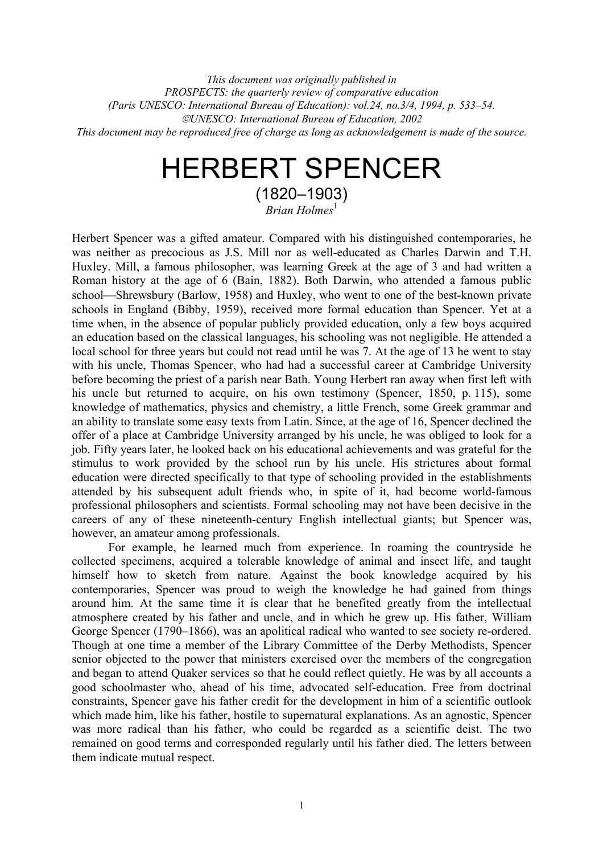*This document was originally published in PROSPECTS: the quarterly review of comparative education (Paris UNESCO: International Bureau of Education): vol.24, no.3/4, 1994, p. 533–54. UNESCO: International Bureau of Education, 2002 This document may be reproduced free of charge as long as acknowledgement is made of the source.* 

# HERBERT SPENCER

(1820–1903)

*Brian Holmes*<sup>1</sup>

Herbert Spencer was a gifted amateur. Compared with his distinguished contemporaries, he was neither as precocious as J.S. Mill nor as well-educated as Charles Darwin and T.H. Huxley. Mill, a famous philosopher, was learning Greek at the age of 3 and had written a Roman history at the age of 6 (Bain, 1882). Both Darwin, who attended a famous public school—Shrewsbury (Barlow, 1958) and Huxley, who went to one of the best-known private schools in England (Bibby, 1959), received more formal education than Spencer. Yet at a time when, in the absence of popular publicly provided education, only a few boys acquired an education based on the classical languages, his schooling was not negligible. He attended a local school for three years but could not read until he was 7. At the age of 13 he went to stay with his uncle, Thomas Spencer, who had had a successful career at Cambridge University before becoming the priest of a parish near Bath. Young Herbert ran away when first left with his uncle but returned to acquire, on his own testimony (Spencer, 1850, p. 115), some knowledge of mathematics, physics and chemistry, a little French, some Greek grammar and an ability to translate some easy texts from Latin. Since, at the age of 16, Spencer declined the offer of a place at Cambridge University arranged by his uncle, he was obliged to look for a job. Fifty years later, he looked back on his educational achievements and was grateful for the stimulus to work provided by the school run by his uncle. His strictures about formal education were directed specifically to that type of schooling provided in the establishments attended by his subsequent adult friends who, in spite of it, had become world-famous professional philosophers and scientists. Formal schooling may not have been decisive in the careers of any of these nineteenth-century English intellectual giants; but Spencer was, however, an amateur among professionals.

For example, he learned much from experience. In roaming the countryside he collected specimens, acquired a tolerable knowledge of animal and insect life, and taught himself how to sketch from nature. Against the book knowledge acquired by his contemporaries, Spencer was proud to weigh the knowledge he had gained from things around him. At the same time it is clear that he benefited greatly from the intellectual atmosphere created by his father and uncle, and in which he grew up. His father, William George Spencer (1790–1866), was an apolitical radical who wanted to see society re-ordered. Though at one time a member of the Library Committee of the Derby Methodists, Spencer senior objected to the power that ministers exercised over the members of the congregation and began to attend Quaker services so that he could reflect quietly. He was by all accounts a good schoolmaster who, ahead of his time, advocated self-education. Free from doctrinal constraints, Spencer gave his father credit for the development in him of a scientific outlook which made him, like his father, hostile to supernatural explanations. As an agnostic, Spencer was more radical than his father, who could be regarded as a scientific deist. The two remained on good terms and corresponded regularly until his father died. The letters between them indicate mutual respect.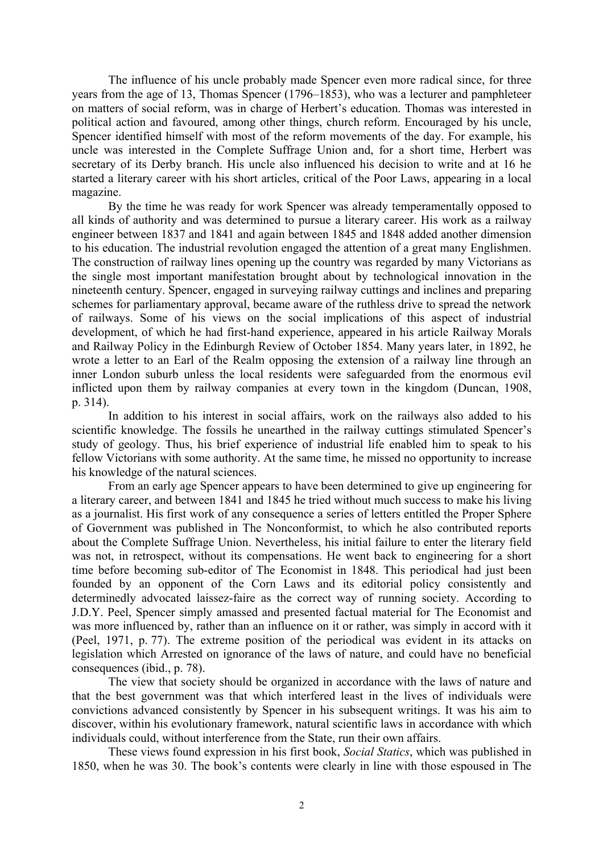The influence of his uncle probably made Spencer even more radical since, for three years from the age of 13, Thomas Spencer (1796–1853), who was a lecturer and pamphleteer on matters of social reform, was in charge of Herbert's education. Thomas was interested in political action and favoured, among other things, church reform. Encouraged by his uncle, Spencer identified himself with most of the reform movements of the day. For example, his uncle was interested in the Complete Suffrage Union and, for a short time, Herbert was secretary of its Derby branch. His uncle also influenced his decision to write and at 16 he started a literary career with his short articles, critical of the Poor Laws, appearing in a local magazine.

By the time he was ready for work Spencer was already temperamentally opposed to all kinds of authority and was determined to pursue a literary career. His work as a railway engineer between 1837 and 1841 and again between 1845 and 1848 added another dimension to his education. The industrial revolution engaged the attention of a great many Englishmen. The construction of railway lines opening up the country was regarded by many Victorians as the single most important manifestation brought about by technological innovation in the nineteenth century. Spencer, engaged in surveying railway cuttings and inclines and preparing schemes for parliamentary approval, became aware of the ruthless drive to spread the network of railways. Some of his views on the social implications of this aspect of industrial development, of which he had first-hand experience, appeared in his article Railway Morals and Railway Policy in the Edinburgh Review of October 1854. Many years later, in 1892, he wrote a letter to an Earl of the Realm opposing the extension of a railway line through an inner London suburb unless the local residents were safeguarded from the enormous evil inflicted upon them by railway companies at every town in the kingdom (Duncan, 1908, p. 314).

In addition to his interest in social affairs, work on the railways also added to his scientific knowledge. The fossils he unearthed in the railway cuttings stimulated Spencer's study of geology. Thus, his brief experience of industrial life enabled him to speak to his fellow Victorians with some authority. At the same time, he missed no opportunity to increase his knowledge of the natural sciences.

From an early age Spencer appears to have been determined to give up engineering for a literary career, and between 1841 and 1845 he tried without much success to make his living as a journalist. His first work of any consequence a series of letters entitled the Proper Sphere of Government was published in The Nonconformist, to which he also contributed reports about the Complete Suffrage Union. Nevertheless, his initial failure to enter the literary field was not, in retrospect, without its compensations. He went back to engineering for a short time before becoming sub-editor of The Economist in 1848. This periodical had just been founded by an opponent of the Corn Laws and its editorial policy consistently and determinedly advocated laissez-faire as the correct way of running society. According to J.D.Y. Peel, Spencer simply amassed and presented factual material for The Economist and was more influenced by, rather than an influence on it or rather, was simply in accord with it (Peel, 1971, p. 77). The extreme position of the periodical was evident in its attacks on legislation which Arrested on ignorance of the laws of nature, and could have no beneficial consequences (ibid., p. 78).

The view that society should be organized in accordance with the laws of nature and that the best government was that which interfered least in the lives of individuals were convictions advanced consistently by Spencer in his subsequent writings. It was his aim to discover, within his evolutionary framework, natural scientific laws in accordance with which individuals could, without interference from the State, run their own affairs.

These views found expression in his first book, *Social Statics*, which was published in 1850, when he was 30. The book's contents were clearly in line with those espoused in The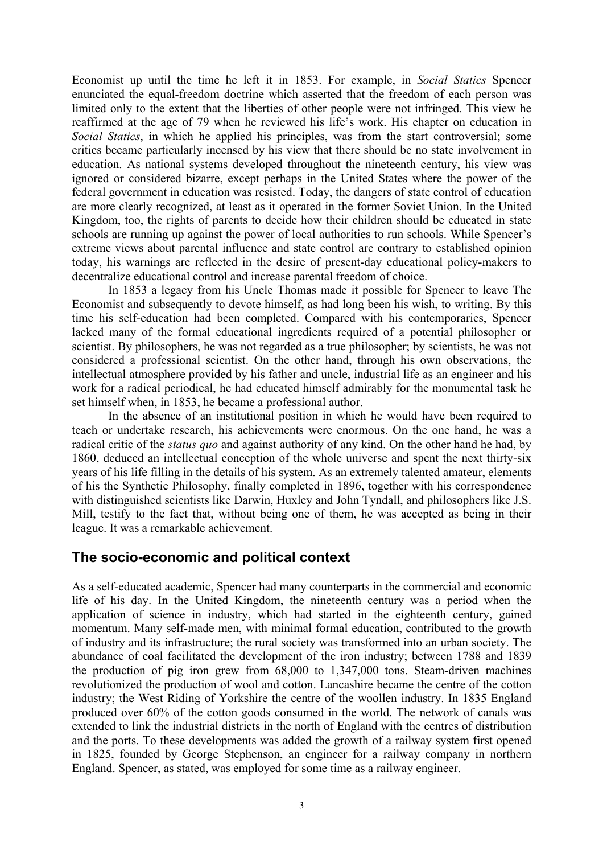Economist up until the time he left it in 1853. For example, in *Social Statics* Spencer enunciated the equal-freedom doctrine which asserted that the freedom of each person was limited only to the extent that the liberties of other people were not infringed. This view he reaffirmed at the age of 79 when he reviewed his life's work. His chapter on education in *Social Statics*, in which he applied his principles, was from the start controversial; some critics became particularly incensed by his view that there should be no state involvement in education. As national systems developed throughout the nineteenth century, his view was ignored or considered bizarre, except perhaps in the United States where the power of the federal government in education was resisted. Today, the dangers of state control of education are more clearly recognized, at least as it operated in the former Soviet Union. In the United Kingdom, too, the rights of parents to decide how their children should be educated in state schools are running up against the power of local authorities to run schools. While Spencer's extreme views about parental influence and state control are contrary to established opinion today, his warnings are reflected in the desire of present-day educational policy-makers to decentralize educational control and increase parental freedom of choice.

In 1853 a legacy from his Uncle Thomas made it possible for Spencer to leave The Economist and subsequently to devote himself, as had long been his wish, to writing. By this time his self-education had been completed. Compared with his contemporaries, Spencer lacked many of the formal educational ingredients required of a potential philosopher or scientist. By philosophers, he was not regarded as a true philosopher; by scientists, he was not considered a professional scientist. On the other hand, through his own observations, the intellectual atmosphere provided by his father and uncle, industrial life as an engineer and his work for a radical periodical, he had educated himself admirably for the monumental task he set himself when, in 1853, he became a professional author.

In the absence of an institutional position in which he would have been required to teach or undertake research, his achievements were enormous. On the one hand, he was a radical critic of the *status quo* and against authority of any kind. On the other hand he had, by 1860, deduced an intellectual conception of the whole universe and spent the next thirty-six years of his life filling in the details of his system. As an extremely talented amateur, elements of his the Synthetic Philosophy, finally completed in 1896, together with his correspondence with distinguished scientists like Darwin, Huxley and John Tyndall, and philosophers like J.S. Mill, testify to the fact that, without being one of them, he was accepted as being in their league. It was a remarkable achievement.

## **The socio-economic and political context**

As a self-educated academic, Spencer had many counterparts in the commercial and economic life of his day. In the United Kingdom, the nineteenth century was a period when the application of science in industry, which had started in the eighteenth century, gained momentum. Many self-made men, with minimal formal education, contributed to the growth of industry and its infrastructure; the rural society was transformed into an urban society. The abundance of coal facilitated the development of the iron industry; between 1788 and 1839 the production of pig iron grew from 68,000 to 1,347,000 tons. Steam-driven machines revolutionized the production of wool and cotton. Lancashire became the centre of the cotton industry; the West Riding of Yorkshire the centre of the woollen industry. In 1835 England produced over 60% of the cotton goods consumed in the world. The network of canals was extended to link the industrial districts in the north of England with the centres of distribution and the ports. To these developments was added the growth of a railway system first opened in 1825, founded by George Stephenson, an engineer for a railway company in northern England. Spencer, as stated, was employed for some time as a railway engineer.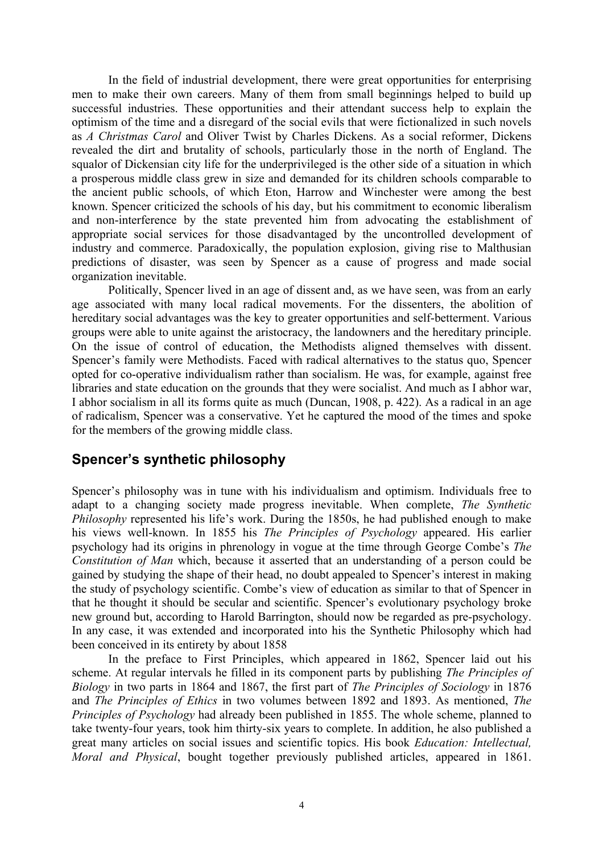In the field of industrial development, there were great opportunities for enterprising men to make their own careers. Many of them from small beginnings helped to build up successful industries. These opportunities and their attendant success help to explain the optimism of the time and a disregard of the social evils that were fictionalized in such novels as *A Christmas Carol* and Oliver Twist by Charles Dickens. As a social reformer, Dickens revealed the dirt and brutality of schools, particularly those in the north of England. The squalor of Dickensian city life for the underprivileged is the other side of a situation in which a prosperous middle class grew in size and demanded for its children schools comparable to the ancient public schools, of which Eton, Harrow and Winchester were among the best known. Spencer criticized the schools of his day, but his commitment to economic liberalism and non-interference by the state prevented him from advocating the establishment of appropriate social services for those disadvantaged by the uncontrolled development of industry and commerce. Paradoxically, the population explosion, giving rise to Malthusian predictions of disaster, was seen by Spencer as a cause of progress and made social organization inevitable.

Politically, Spencer lived in an age of dissent and, as we have seen, was from an early age associated with many local radical movements. For the dissenters, the abolition of hereditary social advantages was the key to greater opportunities and self-betterment. Various groups were able to unite against the aristocracy, the landowners and the hereditary principle. On the issue of control of education, the Methodists aligned themselves with dissent. Spencer's family were Methodists. Faced with radical alternatives to the status quo, Spencer opted for co-operative individualism rather than socialism. He was, for example, against free libraries and state education on the grounds that they were socialist. And much as I abhor war, I abhor socialism in all its forms quite as much (Duncan, 1908, p. 422). As a radical in an age of radicalism, Spencer was a conservative. Yet he captured the mood of the times and spoke for the members of the growing middle class.

## **Spencer's synthetic philosophy**

Spencer's philosophy was in tune with his individualism and optimism. Individuals free to adapt to a changing society made progress inevitable. When complete, *The Synthetic Philosophy* represented his life's work. During the 1850s, he had published enough to make his views well-known. In 1855 his *The Principles of Psychology* appeared. His earlier psychology had its origins in phrenology in vogue at the time through George Combe's *The Constitution of Man* which, because it asserted that an understanding of a person could be gained by studying the shape of their head, no doubt appealed to Spencer's interest in making the study of psychology scientific. Combe's view of education as similar to that of Spencer in that he thought it should be secular and scientific. Spencer's evolutionary psychology broke new ground but, according to Harold Barrington, should now be regarded as pre-psychology. In any case, it was extended and incorporated into his the Synthetic Philosophy which had been conceived in its entirety by about 1858

In the preface to First Principles, which appeared in 1862, Spencer laid out his scheme. At regular intervals he filled in its component parts by publishing *The Principles of Biology* in two parts in 1864 and 1867, the first part of *The Principles of Sociology* in 1876 and *The Principles of Ethics* in two volumes between 1892 and 1893. As mentioned, *The Principles of Psychology* had already been published in 1855. The whole scheme, planned to take twenty-four years, took him thirty-six years to complete. In addition, he also published a great many articles on social issues and scientific topics. His book *Education: Intellectual, Moral and Physical*, bought together previously published articles, appeared in 1861.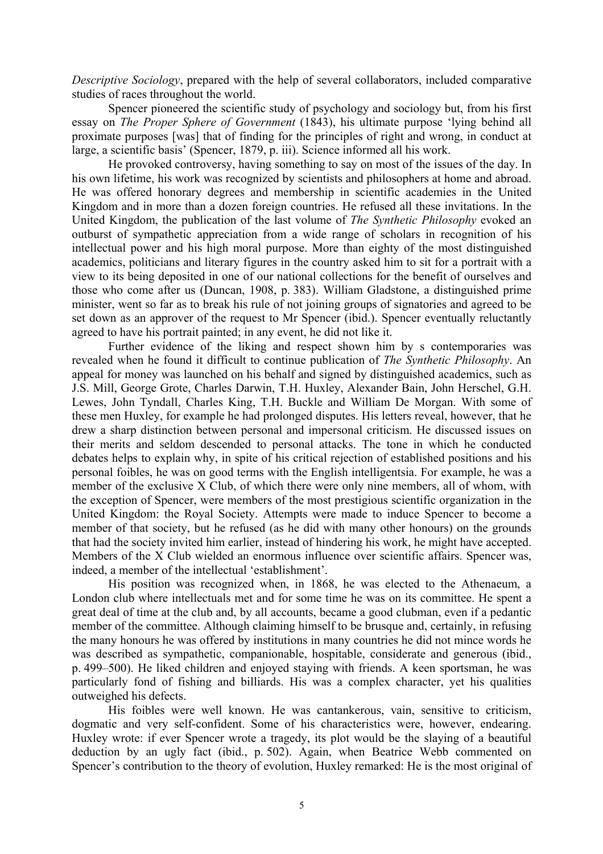*Descriptive Sociology*, prepared with the help of several collaborators, included comparative studies of races throughout the world.

Spencer pioneered the scientific study of psychology and sociology but, from his first essay on *The Proper Sphere of Government* (1843), his ultimate purpose 'lying behind all proximate purposes [was] that of finding for the principles of right and wrong, in conduct at large, a scientific basis' (Spencer, 1879, p. iii). Science informed all his work.

He provoked controversy, having something to say on most of the issues of the day. In his own lifetime, his work was recognized by scientists and philosophers at home and abroad. He was offered honorary degrees and membership in scientific academies in the United Kingdom and in more than a dozen foreign countries. He refused all these invitations. In the United Kingdom, the publication of the last volume of *The Synthetic Philosophy* evoked an outburst of sympathetic appreciation from a wide range of scholars in recognition of his intellectual power and his high moral purpose. More than eighty of the most distinguished academics, politicians and literary figures in the country asked him to sit for a portrait with a view to its being deposited in one of our national collections for the benefit of ourselves and those who come after us (Duncan, 1908, p. 383). William Gladstone, a distinguished prime minister, went so far as to break his rule of not joining groups of signatories and agreed to be set down as an approver of the request to Mr Spencer (ibid.). Spencer eventually reluctantly agreed to have his portrait painted; in any event, he did not like it.

Further evidence of the liking and respect shown him by s contemporaries was revealed when he found it difficult to continue publication of *The Synthetic Philosophy*. An appeal for money was launched on his behalf and signed by distinguished academics, such as J.S. Mill, George Grote, Charles Darwin, T.H. Huxley, Alexander Bain, John Herschel, G.H. Lewes, John Tyndall, Charles King, T.H. Buckle and William De Morgan. With some of these men Huxley, for example he had prolonged disputes. His letters reveal, however, that he drew a sharp distinction between personal and impersonal criticism. He discussed issues on their merits and seldom descended to personal attacks. The tone in which he conducted debates helps to explain why, in spite of his critical rejection of established positions and his personal foibles, he was on good terms with the English intelligentsia. For example, he was a member of the exclusive X Club, of which there were only nine members, all of whom, with the exception of Spencer, were members of the most prestigious scientific organization in the United Kingdom: the Royal Society. Attempts were made to induce Spencer to become a member of that society, but he refused (as he did with many other honours) on the grounds that had the society invited him earlier, instead of hindering his work, he might have accepted. Members of the X Club wielded an enormous influence over scientific affairs. Spencer was, indeed, a member of the intellectual 'establishment'.

His position was recognized when, in 1868, he was elected to the Athenaeum, a London club where intellectuals met and for some time he was on its committee. He spent a great deal of time at the club and, by all accounts, became a good clubman, even if a pedantic member of the committee. Although claiming himself to be brusque and, certainly, in refusing the many honours he was offered by institutions in many countries he did not mince words he was described as sympathetic, companionable, hospitable, considerate and generous (ibid., p. 499–500). He liked children and enjoyed staying with friends. A keen sportsman, he was particularly fond of fishing and billiards. His was a complex character, yet his qualities outweighed his defects.

His foibles were well known. He was cantankerous, vain, sensitive to criticism, dogmatic and very self-confident. Some of his characteristics were, however, endearing. Huxley wrote: if ever Spencer wrote a tragedy, its plot would be the slaying of a beautiful deduction by an ugly fact (ibid., p. 502). Again, when Beatrice Webb commented on Spencer's contribution to the theory of evolution, Huxley remarked: He is the most original of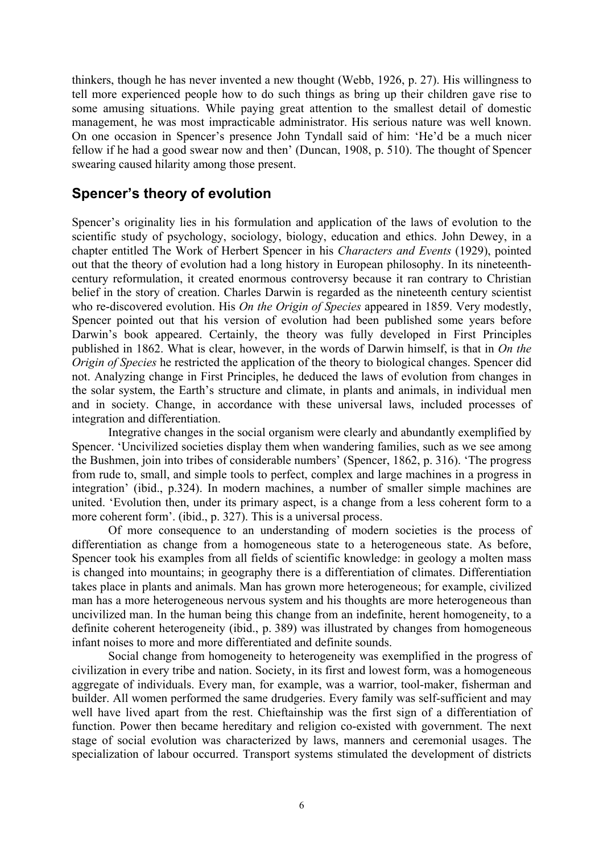thinkers, though he has never invented a new thought (Webb, 1926, p. 27). His willingness to tell more experienced people how to do such things as bring up their children gave rise to some amusing situations. While paying great attention to the smallest detail of domestic management, he was most impracticable administrator. His serious nature was well known. On one occasion in Spencer's presence John Tyndall said of him: 'He'd be a much nicer fellow if he had a good swear now and then' (Duncan, 1908, p. 510). The thought of Spencer swearing caused hilarity among those present.

# **Spencer's theory of evolution**

Spencer's originality lies in his formulation and application of the laws of evolution to the scientific study of psychology, sociology, biology, education and ethics. John Dewey, in a chapter entitled The Work of Herbert Spencer in his *Characters and Events* (1929), pointed out that the theory of evolution had a long history in European philosophy. In its nineteenthcentury reformulation, it created enormous controversy because it ran contrary to Christian belief in the story of creation. Charles Darwin is regarded as the nineteenth century scientist who re-discovered evolution. His *On the Origin of Species* appeared in 1859. Very modestly, Spencer pointed out that his version of evolution had been published some years before Darwin's book appeared. Certainly, the theory was fully developed in First Principles published in 1862. What is clear, however, in the words of Darwin himself, is that in *On the Origin of Species* he restricted the application of the theory to biological changes. Spencer did not. Analyzing change in First Principles, he deduced the laws of evolution from changes in the solar system, the Earth's structure and climate, in plants and animals, in individual men and in society. Change, in accordance with these universal laws, included processes of integration and differentiation.

Integrative changes in the social organism were clearly and abundantly exemplified by Spencer. 'Uncivilized societies display them when wandering families, such as we see among the Bushmen, join into tribes of considerable numbers' (Spencer, 1862, p. 316). 'The progress from rude to, small, and simple tools to perfect, complex and large machines in a progress in integration' (ibid., p.324). In modern machines, a number of smaller simple machines are united. 'Evolution then, under its primary aspect, is a change from a less coherent form to a more coherent form'. (ibid., p. 327). This is a universal process.

Of more consequence to an understanding of modern societies is the process of differentiation as change from a homogeneous state to a heterogeneous state. As before, Spencer took his examples from all fields of scientific knowledge: in geology a molten mass is changed into mountains; in geography there is a differentiation of climates. Differentiation takes place in plants and animals. Man has grown more heterogeneous; for example, civilized man has a more heterogeneous nervous system and his thoughts are more heterogeneous than uncivilized man. In the human being this change from an indefinite, herent homogeneity, to a definite coherent heterogeneity (ibid., p. 389) was illustrated by changes from homogeneous infant noises to more and more differentiated and definite sounds.

Social change from homogeneity to heterogeneity was exemplified in the progress of civilization in every tribe and nation. Society, in its first and lowest form, was a homogeneous aggregate of individuals. Every man, for example, was a warrior, tool-maker, fisherman and builder. All women performed the same drudgeries. Every family was self-sufficient and may well have lived apart from the rest. Chieftainship was the first sign of a differentiation of function. Power then became hereditary and religion co-existed with government. The next stage of social evolution was characterized by laws, manners and ceremonial usages. The specialization of labour occurred. Transport systems stimulated the development of districts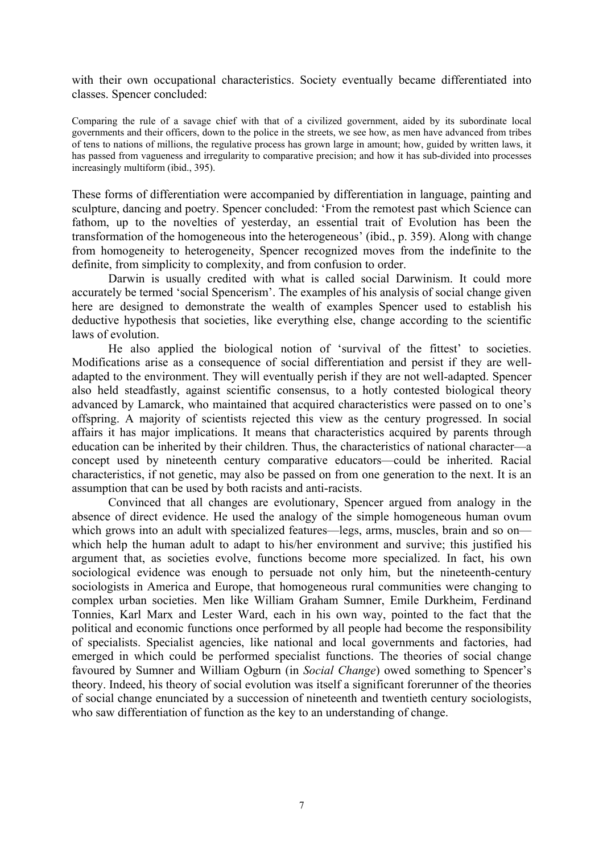with their own occupational characteristics. Society eventually became differentiated into classes. Spencer concluded:

Comparing the rule of a savage chief with that of a civilized government, aided by its subordinate local governments and their officers, down to the police in the streets, we see how, as men have advanced from tribes of tens to nations of millions, the regulative process has grown large in amount; how, guided by written laws, it has passed from vagueness and irregularity to comparative precision; and how it has sub-divided into processes increasingly multiform (ibid., 395).

These forms of differentiation were accompanied by differentiation in language, painting and sculpture, dancing and poetry. Spencer concluded: 'From the remotest past which Science can fathom, up to the novelties of yesterday, an essential trait of Evolution has been the transformation of the homogeneous into the heterogeneous' (ibid., p. 359). Along with change from homogeneity to heterogeneity, Spencer recognized moves from the indefinite to the definite, from simplicity to complexity, and from confusion to order.

Darwin is usually credited with what is called social Darwinism. It could more accurately be termed 'social Spencerism'. The examples of his analysis of social change given here are designed to demonstrate the wealth of examples Spencer used to establish his deductive hypothesis that societies, like everything else, change according to the scientific laws of evolution.

He also applied the biological notion of 'survival of the fittest' to societies. Modifications arise as a consequence of social differentiation and persist if they are welladapted to the environment. They will eventually perish if they are not well-adapted. Spencer also held steadfastly, against scientific consensus, to a hotly contested biological theory advanced by Lamarck, who maintained that acquired characteristics were passed on to one's offspring. A majority of scientists rejected this view as the century progressed. In social affairs it has major implications. It means that characteristics acquired by parents through education can be inherited by their children. Thus, the characteristics of national character—a concept used by nineteenth century comparative educators—could be inherited. Racial characteristics, if not genetic, may also be passed on from one generation to the next. It is an assumption that can be used by both racists and anti-racists.

Convinced that all changes are evolutionary, Spencer argued from analogy in the absence of direct evidence. He used the analogy of the simple homogeneous human ovum which grows into an adult with specialized features—legs, arms, muscles, brain and so on which help the human adult to adapt to his/her environment and survive; this justified his argument that, as societies evolve, functions become more specialized. In fact, his own sociological evidence was enough to persuade not only him, but the nineteenth-century sociologists in America and Europe, that homogeneous rural communities were changing to complex urban societies. Men like William Graham Sumner, Emile Durkheim, Ferdinand Tonnies, Karl Marx and Lester Ward, each in his own way, pointed to the fact that the political and economic functions once performed by all people had become the responsibility of specialists. Specialist agencies, like national and local governments and factories, had emerged in which could be performed specialist functions. The theories of social change favoured by Sumner and William Ogburn (in *Social Change*) owed something to Spencer's theory. Indeed, his theory of social evolution was itself a significant forerunner of the theories of social change enunciated by a succession of nineteenth and twentieth century sociologists, who saw differentiation of function as the key to an understanding of change.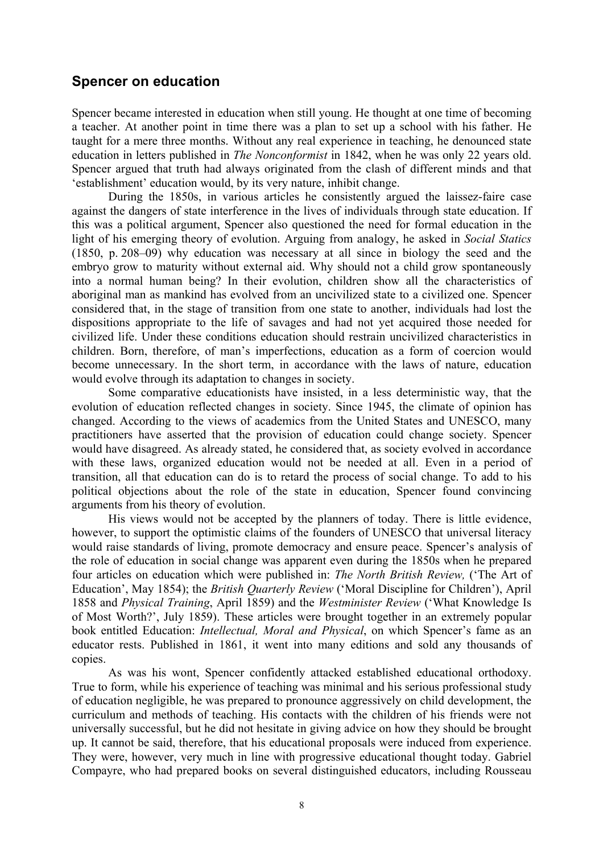## **Spencer on education**

Spencer became interested in education when still young. He thought at one time of becoming a teacher. At another point in time there was a plan to set up a school with his father. He taught for a mere three months. Without any real experience in teaching, he denounced state education in letters published in *The Nonconformist* in 1842, when he was only 22 years old. Spencer argued that truth had always originated from the clash of different minds and that 'establishment' education would, by its very nature, inhibit change.

During the 1850s, in various articles he consistently argued the laissez-faire case against the dangers of state interference in the lives of individuals through state education. If this was a political argument, Spencer also questioned the need for formal education in the light of his emerging theory of evolution. Arguing from analogy, he asked in *Social Statics* (1850, p. 208–09) why education was necessary at all since in biology the seed and the embryo grow to maturity without external aid. Why should not a child grow spontaneously into a normal human being? In their evolution, children show all the characteristics of aboriginal man as mankind has evolved from an uncivilized state to a civilized one. Spencer considered that, in the stage of transition from one state to another, individuals had lost the dispositions appropriate to the life of savages and had not yet acquired those needed for civilized life. Under these conditions education should restrain uncivilized characteristics in children. Born, therefore, of man's imperfections, education as a form of coercion would become unnecessary. In the short term, in accordance with the laws of nature, education would evolve through its adaptation to changes in society.

Some comparative educationists have insisted, in a less deterministic way, that the evolution of education reflected changes in society. Since 1945, the climate of opinion has changed. According to the views of academics from the United States and UNESCO, many practitioners have asserted that the provision of education could change society. Spencer would have disagreed. As already stated, he considered that, as society evolved in accordance with these laws, organized education would not be needed at all. Even in a period of transition, all that education can do is to retard the process of social change. To add to his political objections about the role of the state in education, Spencer found convincing arguments from his theory of evolution.

His views would not be accepted by the planners of today. There is little evidence, however, to support the optimistic claims of the founders of UNESCO that universal literacy would raise standards of living, promote democracy and ensure peace. Spencer's analysis of the role of education in social change was apparent even during the 1850s when he prepared four articles on education which were published in: *The North British Review,* ('The Art of Education', May 1854); the *British Quarterly Review* ('Moral Discipline for Children'), April 1858 and *Physical Training*, April 1859) and the *Westminister Review* ('What Knowledge Is of Most Worth?', July 1859). These articles were brought together in an extremely popular book entitled Education: *Intellectual, Moral and Physical*, on which Spencer's fame as an educator rests. Published in 1861, it went into many editions and sold any thousands of copies.

As was his wont, Spencer confidently attacked established educational orthodoxy. True to form, while his experience of teaching was minimal and his serious professional study of education negligible, he was prepared to pronounce aggressively on child development, the curriculum and methods of teaching. His contacts with the children of his friends were not universally successful, but he did not hesitate in giving advice on how they should be brought up. It cannot be said, therefore, that his educational proposals were induced from experience. They were, however, very much in line with progressive educational thought today. Gabriel Compayre, who had prepared books on several distinguished educators, including Rousseau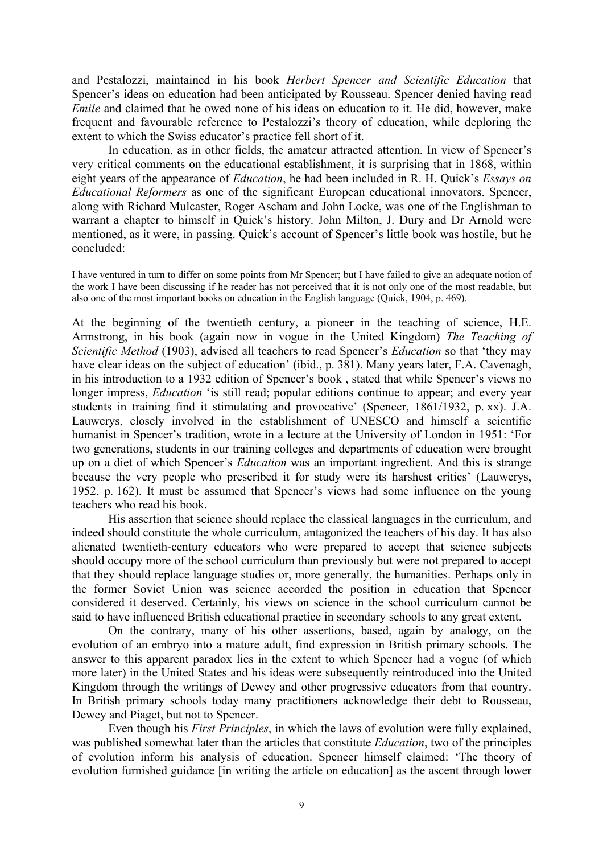and Pestalozzi, maintained in his book *Herbert Spencer and Scientific Education* that Spencer's ideas on education had been anticipated by Rousseau. Spencer denied having read *Emile* and claimed that he owed none of his ideas on education to it. He did, however, make frequent and favourable reference to Pestalozzi's theory of education, while deploring the extent to which the Swiss educator's practice fell short of it.

In education, as in other fields, the amateur attracted attention. In view of Spencer's very critical comments on the educational establishment, it is surprising that in 1868, within eight years of the appearance of *Education*, he had been included in R. H. Quick's *Essays on Educational Reformers* as one of the significant European educational innovators. Spencer, along with Richard Mulcaster, Roger Ascham and John Locke, was one of the Englishman to warrant a chapter to himself in Quick's history. John Milton, J. Dury and Dr Arnold were mentioned, as it were, in passing. Quick's account of Spencer's little book was hostile, but he concluded:

I have ventured in turn to differ on some points from Mr Spencer; but I have failed to give an adequate notion of the work I have been discussing if he reader has not perceived that it is not only one of the most readable, but also one of the most important books on education in the English language (Quick, 1904, p. 469).

At the beginning of the twentieth century, a pioneer in the teaching of science, H.E. Armstrong, in his book (again now in vogue in the United Kingdom) *The Teaching of Scientific Method* (1903), advised all teachers to read Spencer's *Education* so that 'they may have clear ideas on the subject of education' (ibid., p. 381). Many years later, F.A. Cavenagh, in his introduction to a 1932 edition of Spencer's book , stated that while Spencer's views no longer impress, *Education* 'is still read; popular editions continue to appear; and every year students in training find it stimulating and provocative' (Spencer, 1861/1932, p. xx). J.A. Lauwerys, closely involved in the establishment of UNESCO and himself a scientific humanist in Spencer's tradition, wrote in a lecture at the University of London in 1951: 'For two generations, students in our training colleges and departments of education were brought up on a diet of which Spencer's *Education* was an important ingredient. And this is strange because the very people who prescribed it for study were its harshest critics' (Lauwerys, 1952, p. 162). It must be assumed that Spencer's views had some influence on the young teachers who read his book.

His assertion that science should replace the classical languages in the curriculum, and indeed should constitute the whole curriculum, antagonized the teachers of his day. It has also alienated twentieth-century educators who were prepared to accept that science subjects should occupy more of the school curriculum than previously but were not prepared to accept that they should replace language studies or, more generally, the humanities. Perhaps only in the former Soviet Union was science accorded the position in education that Spencer considered it deserved. Certainly, his views on science in the school curriculum cannot be said to have influenced British educational practice in secondary schools to any great extent.

On the contrary, many of his other assertions, based, again by analogy, on the evolution of an embryo into a mature adult, find expression in British primary schools. The answer to this apparent paradox lies in the extent to which Spencer had a vogue (of which more later) in the United States and his ideas were subsequently reintroduced into the United Kingdom through the writings of Dewey and other progressive educators from that country. In British primary schools today many practitioners acknowledge their debt to Rousseau, Dewey and Piaget, but not to Spencer.

Even though his *First Principles*, in which the laws of evolution were fully explained, was published somewhat later than the articles that constitute *Education*, two of the principles of evolution inform his analysis of education. Spencer himself claimed: 'The theory of evolution furnished guidance [in writing the article on education] as the ascent through lower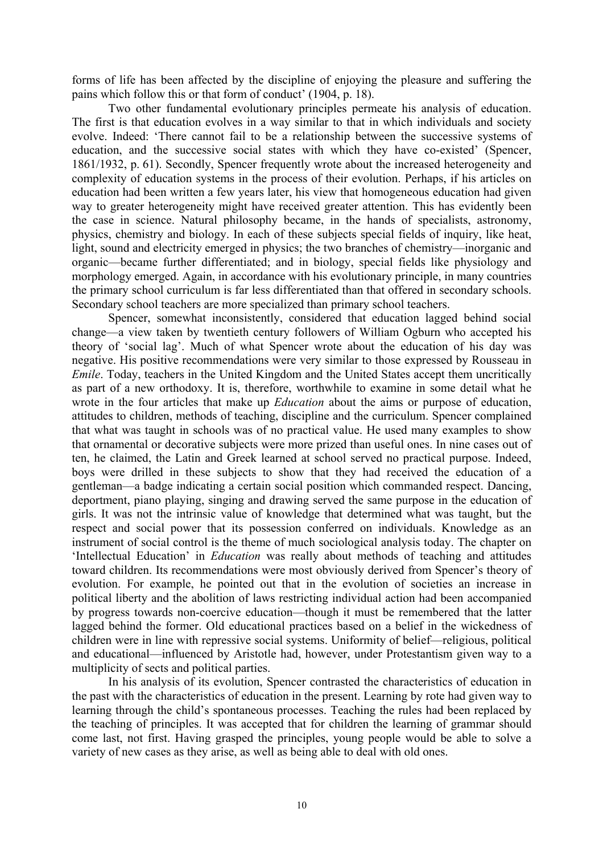forms of life has been affected by the discipline of enjoying the pleasure and suffering the pains which follow this or that form of conduct' (1904, p. 18).

Two other fundamental evolutionary principles permeate his analysis of education. The first is that education evolves in a way similar to that in which individuals and society evolve. Indeed: 'There cannot fail to be a relationship between the successive systems of education, and the successive social states with which they have co-existed' (Spencer, 1861/1932, p. 61). Secondly, Spencer frequently wrote about the increased heterogeneity and complexity of education systems in the process of their evolution. Perhaps, if his articles on education had been written a few years later, his view that homogeneous education had given way to greater heterogeneity might have received greater attention. This has evidently been the case in science. Natural philosophy became, in the hands of specialists, astronomy, physics, chemistry and biology. In each of these subjects special fields of inquiry, like heat, light, sound and electricity emerged in physics; the two branches of chemistry—inorganic and organic—became further differentiated; and in biology, special fields like physiology and morphology emerged. Again, in accordance with his evolutionary principle, in many countries the primary school curriculum is far less differentiated than that offered in secondary schools. Secondary school teachers are more specialized than primary school teachers.

Spencer, somewhat inconsistently, considered that education lagged behind social change—a view taken by twentieth century followers of William Ogburn who accepted his theory of 'social lag'. Much of what Spencer wrote about the education of his day was negative. His positive recommendations were very similar to those expressed by Rousseau in *Emile*. Today, teachers in the United Kingdom and the United States accept them uncritically as part of a new orthodoxy. It is, therefore, worthwhile to examine in some detail what he wrote in the four articles that make up *Education* about the aims or purpose of education, attitudes to children, methods of teaching, discipline and the curriculum. Spencer complained that what was taught in schools was of no practical value. He used many examples to show that ornamental or decorative subjects were more prized than useful ones. In nine cases out of ten, he claimed, the Latin and Greek learned at school served no practical purpose. Indeed, boys were drilled in these subjects to show that they had received the education of a gentleman—a badge indicating a certain social position which commanded respect. Dancing, deportment, piano playing, singing and drawing served the same purpose in the education of girls. It was not the intrinsic value of knowledge that determined what was taught, but the respect and social power that its possession conferred on individuals. Knowledge as an instrument of social control is the theme of much sociological analysis today. The chapter on 'Intellectual Education' in *Education* was really about methods of teaching and attitudes toward children. Its recommendations were most obviously derived from Spencer's theory of evolution. For example, he pointed out that in the evolution of societies an increase in political liberty and the abolition of laws restricting individual action had been accompanied by progress towards non-coercive education—though it must be remembered that the latter lagged behind the former. Old educational practices based on a belief in the wickedness of children were in line with repressive social systems. Uniformity of belief—religious, political and educational—influenced by Aristotle had, however, under Protestantism given way to a multiplicity of sects and political parties.

In his analysis of its evolution, Spencer contrasted the characteristics of education in the past with the characteristics of education in the present. Learning by rote had given way to learning through the child's spontaneous processes. Teaching the rules had been replaced by the teaching of principles. It was accepted that for children the learning of grammar should come last, not first. Having grasped the principles, young people would be able to solve a variety of new cases as they arise, as well as being able to deal with old ones.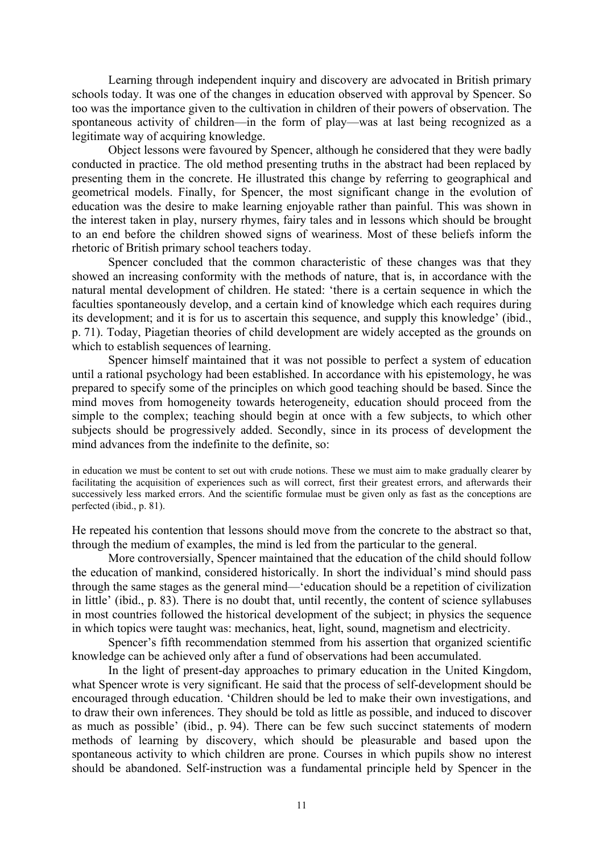Learning through independent inquiry and discovery are advocated in British primary schools today. It was one of the changes in education observed with approval by Spencer. So too was the importance given to the cultivation in children of their powers of observation. The spontaneous activity of children—in the form of play—was at last being recognized as a legitimate way of acquiring knowledge.

Object lessons were favoured by Spencer, although he considered that they were badly conducted in practice. The old method presenting truths in the abstract had been replaced by presenting them in the concrete. He illustrated this change by referring to geographical and geometrical models. Finally, for Spencer, the most significant change in the evolution of education was the desire to make learning enjoyable rather than painful. This was shown in the interest taken in play, nursery rhymes, fairy tales and in lessons which should be brought to an end before the children showed signs of weariness. Most of these beliefs inform the rhetoric of British primary school teachers today.

Spencer concluded that the common characteristic of these changes was that they showed an increasing conformity with the methods of nature, that is, in accordance with the natural mental development of children. He stated: 'there is a certain sequence in which the faculties spontaneously develop, and a certain kind of knowledge which each requires during its development; and it is for us to ascertain this sequence, and supply this knowledge' (ibid., p. 71). Today, Piagetian theories of child development are widely accepted as the grounds on which to establish sequences of learning.

Spencer himself maintained that it was not possible to perfect a system of education until a rational psychology had been established. In accordance with his epistemology, he was prepared to specify some of the principles on which good teaching should be based. Since the mind moves from homogeneity towards heterogeneity, education should proceed from the simple to the complex; teaching should begin at once with a few subjects, to which other subjects should be progressively added. Secondly, since in its process of development the mind advances from the indefinite to the definite, so:

in education we must be content to set out with crude notions. These we must aim to make gradually clearer by facilitating the acquisition of experiences such as will correct, first their greatest errors, and afterwards their successively less marked errors. And the scientific formulae must be given only as fast as the conceptions are perfected (ibid., p. 81).

He repeated his contention that lessons should move from the concrete to the abstract so that, through the medium of examples, the mind is led from the particular to the general.

More controversially, Spencer maintained that the education of the child should follow the education of mankind, considered historically. In short the individual's mind should pass through the same stages as the general mind—'education should be a repetition of civilization in little' (ibid., p. 83). There is no doubt that, until recently, the content of science syllabuses in most countries followed the historical development of the subject; in physics the sequence in which topics were taught was: mechanics, heat, light, sound, magnetism and electricity.

Spencer's fifth recommendation stemmed from his assertion that organized scientific knowledge can be achieved only after a fund of observations had been accumulated.

In the light of present-day approaches to primary education in the United Kingdom, what Spencer wrote is very significant. He said that the process of self-development should be encouraged through education. 'Children should be led to make their own investigations, and to draw their own inferences. They should be told as little as possible, and induced to discover as much as possible' (ibid., p. 94). There can be few such succinct statements of modern methods of learning by discovery, which should be pleasurable and based upon the spontaneous activity to which children are prone. Courses in which pupils show no interest should be abandoned. Self-instruction was a fundamental principle held by Spencer in the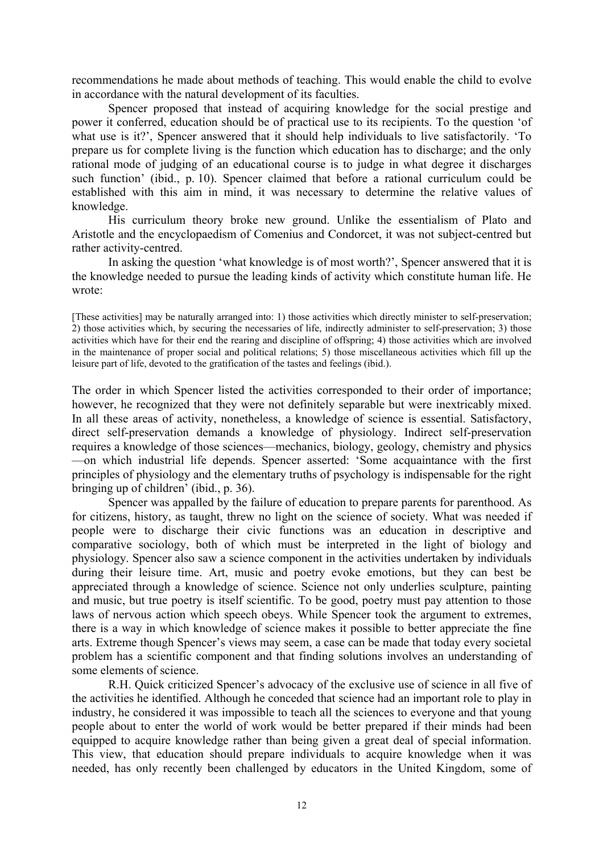recommendations he made about methods of teaching. This would enable the child to evolve in accordance with the natural development of its faculties.

Spencer proposed that instead of acquiring knowledge for the social prestige and power it conferred, education should be of practical use to its recipients. To the question 'of what use is it?', Spencer answered that it should help individuals to live satisfactorily. 'To prepare us for complete living is the function which education has to discharge; and the only rational mode of judging of an educational course is to judge in what degree it discharges such function' (ibid., p. 10). Spencer claimed that before a rational curriculum could be established with this aim in mind, it was necessary to determine the relative values of knowledge.

His curriculum theory broke new ground. Unlike the essentialism of Plato and Aristotle and the encyclopaedism of Comenius and Condorcet, it was not subject-centred but rather activity-centred.

In asking the question 'what knowledge is of most worth?', Spencer answered that it is the knowledge needed to pursue the leading kinds of activity which constitute human life. He wrote:

[These activities] may be naturally arranged into: 1) those activities which directly minister to self-preservation; 2) those activities which, by securing the necessaries of life, indirectly administer to self-preservation; 3) those activities which have for their end the rearing and discipline of offspring; 4) those activities which are involved in the maintenance of proper social and political relations; 5) those miscellaneous activities which fill up the leisure part of life, devoted to the gratification of the tastes and feelings (ibid.).

The order in which Spencer listed the activities corresponded to their order of importance; however, he recognized that they were not definitely separable but were inextricably mixed. In all these areas of activity, nonetheless, a knowledge of science is essential. Satisfactory, direct self-preservation demands a knowledge of physiology. Indirect self-preservation requires a knowledge of those sciences—mechanics, biology, geology, chemistry and physics —on which industrial life depends. Spencer asserted: 'Some acquaintance with the first principles of physiology and the elementary truths of psychology is indispensable for the right bringing up of children' (ibid., p. 36).

Spencer was appalled by the failure of education to prepare parents for parenthood. As for citizens, history, as taught, threw no light on the science of society. What was needed if people were to discharge their civic functions was an education in descriptive and comparative sociology, both of which must be interpreted in the light of biology and physiology. Spencer also saw a science component in the activities undertaken by individuals during their leisure time. Art, music and poetry evoke emotions, but they can best be appreciated through a knowledge of science. Science not only underlies sculpture, painting and music, but true poetry is itself scientific. To be good, poetry must pay attention to those laws of nervous action which speech obeys. While Spencer took the argument to extremes, there is a way in which knowledge of science makes it possible to better appreciate the fine arts. Extreme though Spencer's views may seem, a case can be made that today every societal problem has a scientific component and that finding solutions involves an understanding of some elements of science.

R.H. Quick criticized Spencer's advocacy of the exclusive use of science in all five of the activities he identified. Although he conceded that science had an important role to play in industry, he considered it was impossible to teach all the sciences to everyone and that young people about to enter the world of work would be better prepared if their minds had been equipped to acquire knowledge rather than being given a great deal of special information. This view, that education should prepare individuals to acquire knowledge when it was needed, has only recently been challenged by educators in the United Kingdom, some of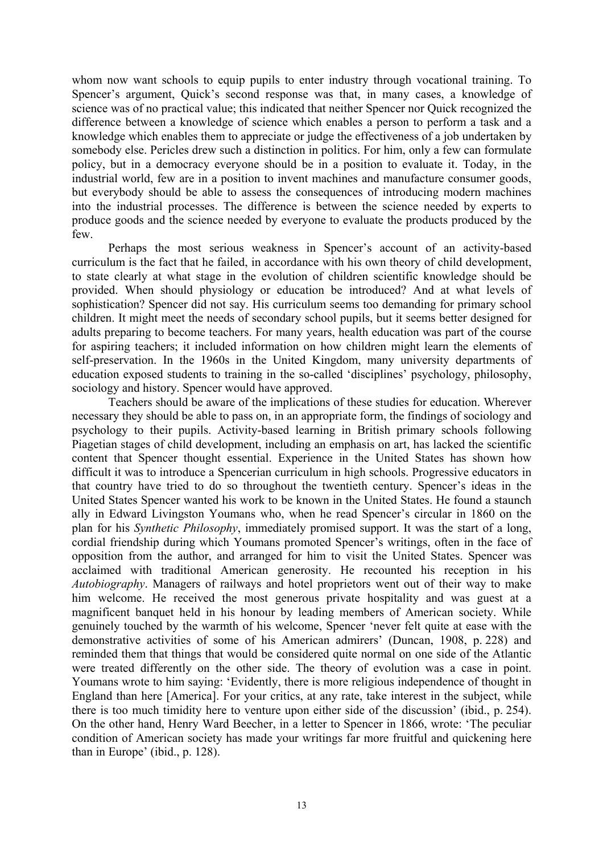whom now want schools to equip pupils to enter industry through vocational training. To Spencer's argument, Quick's second response was that, in many cases, a knowledge of science was of no practical value; this indicated that neither Spencer nor Quick recognized the difference between a knowledge of science which enables a person to perform a task and a knowledge which enables them to appreciate or judge the effectiveness of a job undertaken by somebody else. Pericles drew such a distinction in politics. For him, only a few can formulate policy, but in a democracy everyone should be in a position to evaluate it. Today, in the industrial world, few are in a position to invent machines and manufacture consumer goods, but everybody should be able to assess the consequences of introducing modern machines into the industrial processes. The difference is between the science needed by experts to produce goods and the science needed by everyone to evaluate the products produced by the few.

Perhaps the most serious weakness in Spencer's account of an activity-based curriculum is the fact that he failed, in accordance with his own theory of child development, to state clearly at what stage in the evolution of children scientific knowledge should be provided. When should physiology or education be introduced? And at what levels of sophistication? Spencer did not say. His curriculum seems too demanding for primary school children. It might meet the needs of secondary school pupils, but it seems better designed for adults preparing to become teachers. For many years, health education was part of the course for aspiring teachers; it included information on how children might learn the elements of self-preservation. In the 1960s in the United Kingdom, many university departments of education exposed students to training in the so-called 'disciplines' psychology, philosophy, sociology and history. Spencer would have approved.

Teachers should be aware of the implications of these studies for education. Wherever necessary they should be able to pass on, in an appropriate form, the findings of sociology and psychology to their pupils. Activity-based learning in British primary schools following Piagetian stages of child development, including an emphasis on art, has lacked the scientific content that Spencer thought essential. Experience in the United States has shown how difficult it was to introduce a Spencerian curriculum in high schools. Progressive educators in that country have tried to do so throughout the twentieth century. Spencer's ideas in the United States Spencer wanted his work to be known in the United States. He found a staunch ally in Edward Livingston Youmans who, when he read Spencer's circular in 1860 on the plan for his *Synthetic Philosophy*, immediately promised support. It was the start of a long, cordial friendship during which Youmans promoted Spencer's writings, often in the face of opposition from the author, and arranged for him to visit the United States. Spencer was acclaimed with traditional American generosity. He recounted his reception in his *Autobiography*. Managers of railways and hotel proprietors went out of their way to make him welcome. He received the most generous private hospitality and was guest at a magnificent banquet held in his honour by leading members of American society. While genuinely touched by the warmth of his welcome, Spencer 'never felt quite at ease with the demonstrative activities of some of his American admirers' (Duncan, 1908, p. 228) and reminded them that things that would be considered quite normal on one side of the Atlantic were treated differently on the other side. The theory of evolution was a case in point. Youmans wrote to him saying: 'Evidently, there is more religious independence of thought in England than here [America]. For your critics, at any rate, take interest in the subject, while there is too much timidity here to venture upon either side of the discussion' (ibid., p. 254). On the other hand, Henry Ward Beecher, in a letter to Spencer in 1866, wrote: 'The peculiar condition of American society has made your writings far more fruitful and quickening here than in Europe' (ibid., p. 128).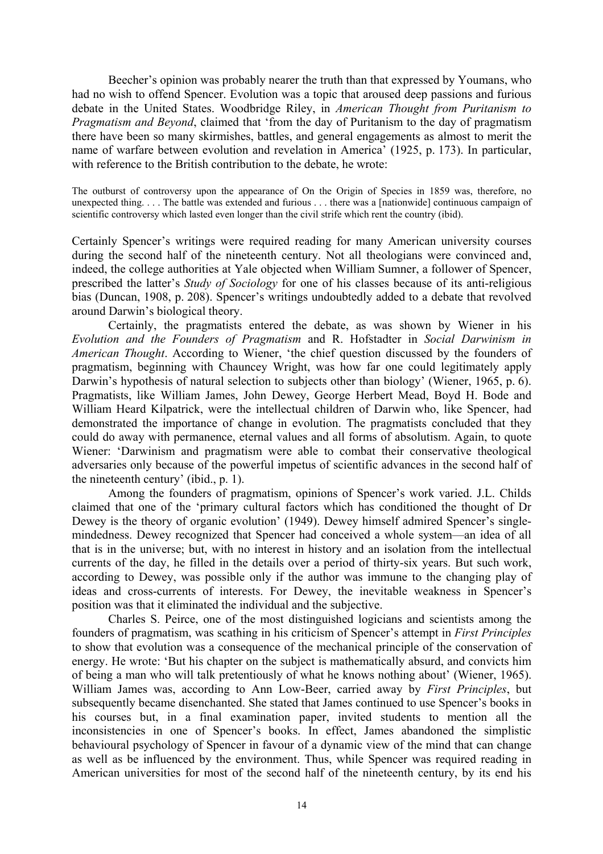Beecher's opinion was probably nearer the truth than that expressed by Youmans, who had no wish to offend Spencer. Evolution was a topic that aroused deep passions and furious debate in the United States. Woodbridge Riley, in *American Thought from Puritanism to Pragmatism and Beyond*, claimed that 'from the day of Puritanism to the day of pragmatism there have been so many skirmishes, battles, and general engagements as almost to merit the name of warfare between evolution and revelation in America' (1925, p. 173). In particular, with reference to the British contribution to the debate, he wrote:

The outburst of controversy upon the appearance of On the Origin of Species in 1859 was, therefore, no unexpected thing. . . . The battle was extended and furious . . . there was a [nationwide] continuous campaign of scientific controversy which lasted even longer than the civil strife which rent the country (ibid).

Certainly Spencer's writings were required reading for many American university courses during the second half of the nineteenth century. Not all theologians were convinced and, indeed, the college authorities at Yale objected when William Sumner, a follower of Spencer, prescribed the latter's *Study of Sociology* for one of his classes because of its anti-religious bias (Duncan, 1908, p. 208). Spencer's writings undoubtedly added to a debate that revolved around Darwin's biological theory.

Certainly, the pragmatists entered the debate, as was shown by Wiener in his *Evolution and the Founders of Pragmatism* and R. Hofstadter in *Social Darwinism in American Thought*. According to Wiener, 'the chief question discussed by the founders of pragmatism, beginning with Chauncey Wright, was how far one could legitimately apply Darwin's hypothesis of natural selection to subjects other than biology' (Wiener, 1965, p. 6). Pragmatists, like William James, John Dewey, George Herbert Mead, Boyd H. Bode and William Heard Kilpatrick, were the intellectual children of Darwin who, like Spencer, had demonstrated the importance of change in evolution. The pragmatists concluded that they could do away with permanence, eternal values and all forms of absolutism. Again, to quote Wiener: 'Darwinism and pragmatism were able to combat their conservative theological adversaries only because of the powerful impetus of scientific advances in the second half of the nineteenth century' (ibid., p. 1).

Among the founders of pragmatism, opinions of Spencer's work varied. J.L. Childs claimed that one of the 'primary cultural factors which has conditioned the thought of Dr Dewey is the theory of organic evolution' (1949). Dewey himself admired Spencer's singlemindedness. Dewey recognized that Spencer had conceived a whole system—an idea of all that is in the universe; but, with no interest in history and an isolation from the intellectual currents of the day, he filled in the details over a period of thirty-six years. But such work, according to Dewey, was possible only if the author was immune to the changing play of ideas and cross-currents of interests. For Dewey, the inevitable weakness in Spencer's position was that it eliminated the individual and the subjective.

Charles S. Peirce, one of the most distinguished logicians and scientists among the founders of pragmatism, was scathing in his criticism of Spencer's attempt in *First Principles* to show that evolution was a consequence of the mechanical principle of the conservation of energy. He wrote: 'But his chapter on the subject is mathematically absurd, and convicts him of being a man who will talk pretentiously of what he knows nothing about' (Wiener, 1965). William James was, according to Ann Low-Beer, carried away by *First Principles*, but subsequently became disenchanted. She stated that James continued to use Spencer's books in his courses but, in a final examination paper, invited students to mention all the inconsistencies in one of Spencer's books. In effect, James abandoned the simplistic behavioural psychology of Spencer in favour of a dynamic view of the mind that can change as well as be influenced by the environment. Thus, while Spencer was required reading in American universities for most of the second half of the nineteenth century, by its end his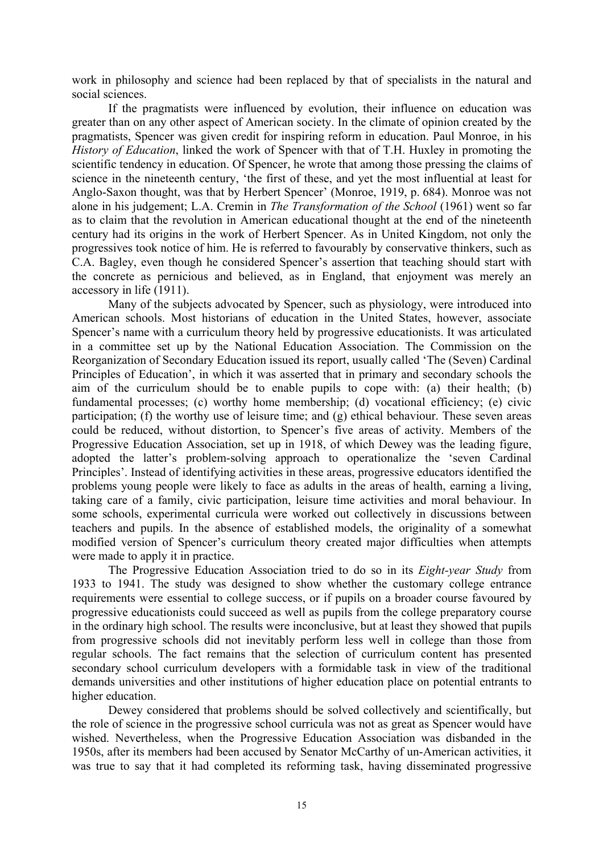work in philosophy and science had been replaced by that of specialists in the natural and social sciences.

If the pragmatists were influenced by evolution, their influence on education was greater than on any other aspect of American society. In the climate of opinion created by the pragmatists, Spencer was given credit for inspiring reform in education. Paul Monroe, in his *History of Education*, linked the work of Spencer with that of T.H. Huxley in promoting the scientific tendency in education. Of Spencer, he wrote that among those pressing the claims of science in the nineteenth century, 'the first of these, and yet the most influential at least for Anglo-Saxon thought, was that by Herbert Spencer' (Monroe, 1919, p. 684). Monroe was not alone in his judgement; L.A. Cremin in *The Transformation of the School* (1961) went so far as to claim that the revolution in American educational thought at the end of the nineteenth century had its origins in the work of Herbert Spencer. As in United Kingdom, not only the progressives took notice of him. He is referred to favourably by conservative thinkers, such as C.A. Bagley, even though he considered Spencer's assertion that teaching should start with the concrete as pernicious and believed, as in England, that enjoyment was merely an accessory in life (1911).

Many of the subjects advocated by Spencer, such as physiology, were introduced into American schools. Most historians of education in the United States, however, associate Spencer's name with a curriculum theory held by progressive educationists. It was articulated in a committee set up by the National Education Association. The Commission on the Reorganization of Secondary Education issued its report, usually called 'The (Seven) Cardinal Principles of Education', in which it was asserted that in primary and secondary schools the aim of the curriculum should be to enable pupils to cope with: (a) their health; (b) fundamental processes; (c) worthy home membership; (d) vocational efficiency; (e) civic participation; (f) the worthy use of leisure time; and (g) ethical behaviour. These seven areas could be reduced, without distortion, to Spencer's five areas of activity. Members of the Progressive Education Association, set up in 1918, of which Dewey was the leading figure, adopted the latter's problem-solving approach to operationalize the 'seven Cardinal Principles'. Instead of identifying activities in these areas, progressive educators identified the problems young people were likely to face as adults in the areas of health, earning a living, taking care of a family, civic participation, leisure time activities and moral behaviour. In some schools, experimental curricula were worked out collectively in discussions between teachers and pupils. In the absence of established models, the originality of a somewhat modified version of Spencer's curriculum theory created major difficulties when attempts were made to apply it in practice.

The Progressive Education Association tried to do so in its *Eight-year Study* from 1933 to 1941. The study was designed to show whether the customary college entrance requirements were essential to college success, or if pupils on a broader course favoured by progressive educationists could succeed as well as pupils from the college preparatory course in the ordinary high school. The results were inconclusive, but at least they showed that pupils from progressive schools did not inevitably perform less well in college than those from regular schools. The fact remains that the selection of curriculum content has presented secondary school curriculum developers with a formidable task in view of the traditional demands universities and other institutions of higher education place on potential entrants to higher education.

Dewey considered that problems should be solved collectively and scientifically, but the role of science in the progressive school curricula was not as great as Spencer would have wished. Nevertheless, when the Progressive Education Association was disbanded in the 1950s, after its members had been accused by Senator McCarthy of un-American activities, it was true to say that it had completed its reforming task, having disseminated progressive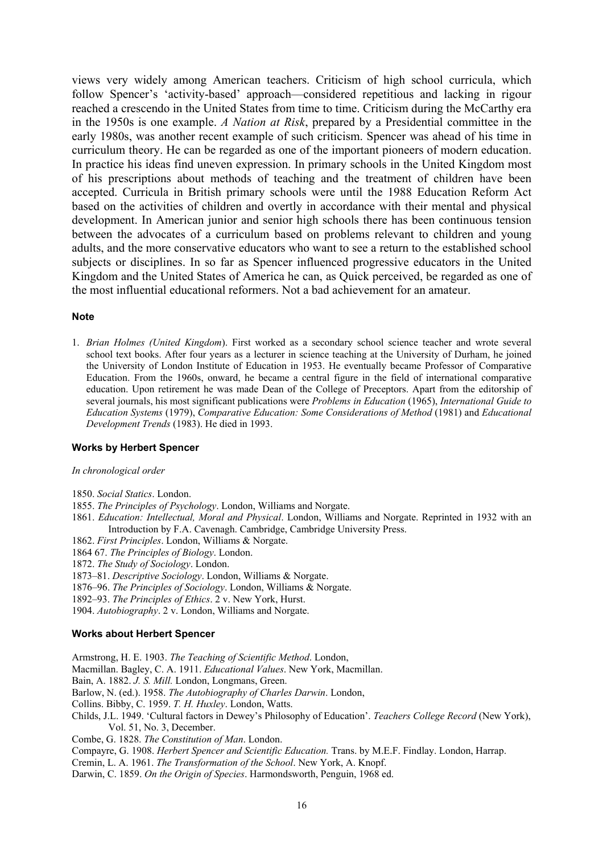views very widely among American teachers. Criticism of high school curricula, which follow Spencer's 'activity-based' approach—considered repetitious and lacking in rigour reached a crescendo in the United States from time to time. Criticism during the McCarthy era in the 1950s is one example. *A Nation at Risk*, prepared by a Presidential committee in the early 1980s, was another recent example of such criticism. Spencer was ahead of his time in curriculum theory. He can be regarded as one of the important pioneers of modern education. In practice his ideas find uneven expression. In primary schools in the United Kingdom most of his prescriptions about methods of teaching and the treatment of children have been accepted. Curricula in British primary schools were until the 1988 Education Reform Act based on the activities of children and overtly in accordance with their mental and physical development. In American junior and senior high schools there has been continuous tension between the advocates of a curriculum based on problems relevant to children and young adults, and the more conservative educators who want to see a return to the established school subjects or disciplines. In so far as Spencer influenced progressive educators in the United Kingdom and the United States of America he can, as Quick perceived, be regarded as one of the most influential educational reformers. Not a bad achievement for an amateur.

## **Note**

1. *Brian Holmes (United Kingdom*). First worked as a secondary school science teacher and wrote several school text books. After four years as a lecturer in science teaching at the University of Durham, he joined the University of London Institute of Education in 1953. He eventually became Professor of Comparative Education. From the 1960s, onward, he became a central figure in the field of international comparative education. Upon retirement he was made Dean of the College of Preceptors. Apart from the editorship of several journals, his most significant publications were *Problems in Education* (1965), *International Guide to Education Systems* (1979), *Comparative Education: Some Considerations of Method* (1981) and *Educational Development Trends* (1983). He died in 1993.

## **Works by Herbert Spencer**

#### *In chronological order*

1850. *Social Statics*. London.

1855. *The Principles of Psychology*. London, Williams and Norgate.

1861. *Education: Intellectual, Moral and Physical*. London, Williams and Norgate. Reprinted in 1932 with an Introduction by F.A. Cavenagh. Cambridge, Cambridge University Press.

1862. *First Principles*. London, Williams & Norgate.

1864 67. *The Principles of Biology*. London.

1872. *The Study of Sociology*. London.

1873–81. *Descriptive Sociology*. London, Williams & Norgate.

1876–96. *The Principles of Sociology*. London, Williams & Norgate.

1892–93. *The Principles of Ethics*. 2 v. New York, Hurst.

1904. *Autobiography*. 2 v. London, Williams and Norgate.

## **Works about Herbert Spencer**

Armstrong, H. E. 1903. *The Teaching of Scientific Method*. London, Macmillan. Bagley, C. A. 1911. *Educational Values*. New York, Macmillan. Bain, A. 1882. *J. S. Mill.* London, Longmans, Green. Barlow, N. (ed.). 1958. *The Autobiography of Charles Darwin*. London, Collins. Bibby, C. 1959. *T. H. Huxley*. London, Watts. Childs, J.L. 1949. 'Cultural factors in Dewey's Philosophy of Education'. *Teachers College Record* (New York), Vol. 51, No. 3, December. Combe, G. 1828. *The Constitution of Man*. London. Compayre, G. 1908. *Herbert Spencer and Scientific Education.* Trans. by M.E.F. Findlay. London, Harrap. Cremin, L. A. 1961. *The Transformation of the School*. New York, A. Knopf. Darwin, C. 1859. *On the Origin of Species*. Harmondsworth, Penguin, 1968 ed.